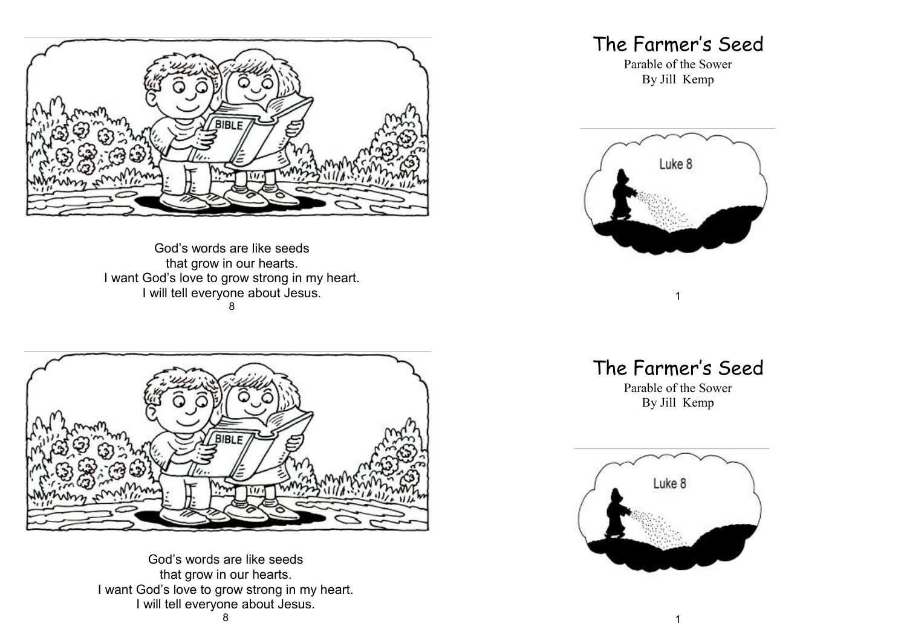

God's words are like seeds that grow in our hearts. I want God's love to grow strong in my heart. I will tell everyone about Jesus. 8



God's words are like seeds that grow in our hearts. I want God's love to grow strong in my heart. I will tell everyone about Jesus.

## The Farmer's Seed

Parable of the Sower By Jill Kemp



The Farmer's Seed

1

Parable of the Sower By Jill Kemp

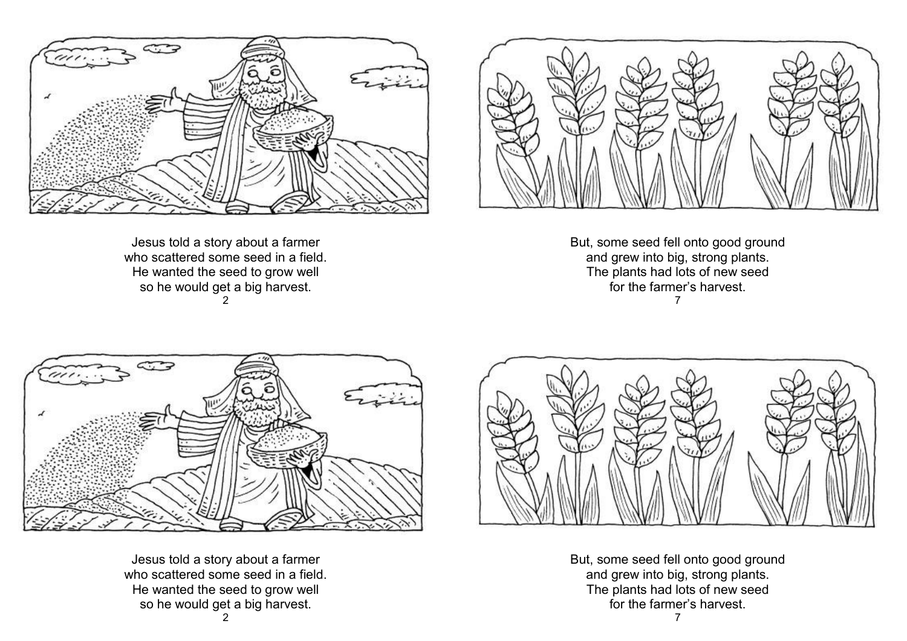

Jesus told a story about a farmer who scattered some seed in a field. He wanted the seed to grow well so he would get a big harvest.  $\mathfrak{D}$ 



But, some seed fell onto good ground and grew into big, strong plants. The plants had lots of new seed for the farmer's harvest. 7



Jesus told a story about a farmer who scattered some seed in a field. He wanted the seed to grow well so he would get a big harvest.



But, some seed fell onto good ground and grew into big, strong plants. The plants had lots of new seed for the farmer's harvest.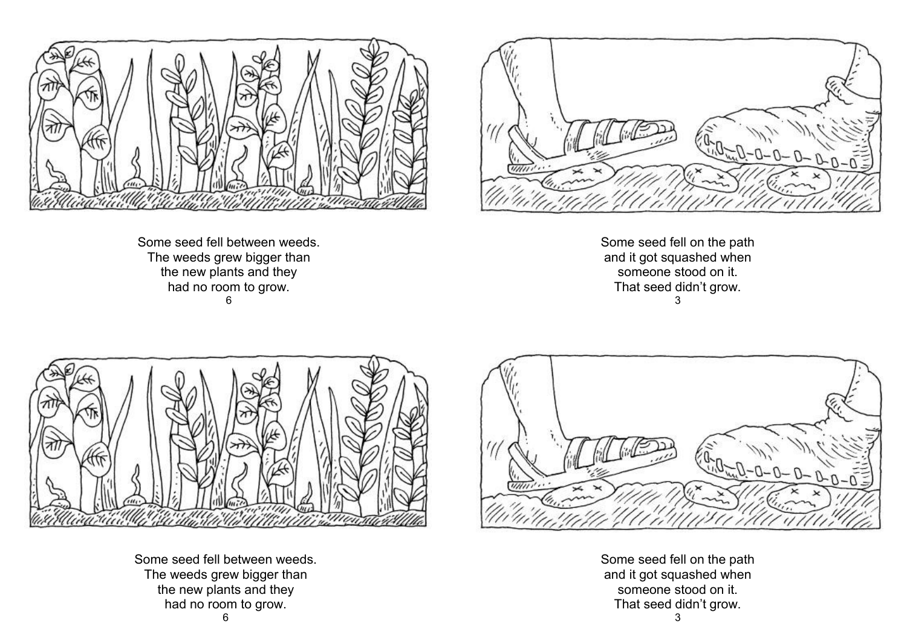

Some seed fell between weeds. The weeds grew bigger than the new plants and they had no room to grow. 6



Some seed fell on the path and it got squashed when someone stood on it. That seed didn't grow. 3



Some seed fell between weeds. The weeds grew bigger than the new plants and they had no room to grow.



Some seed fell on the path and it got squashed when someone stood on it. That seed didn't grow.